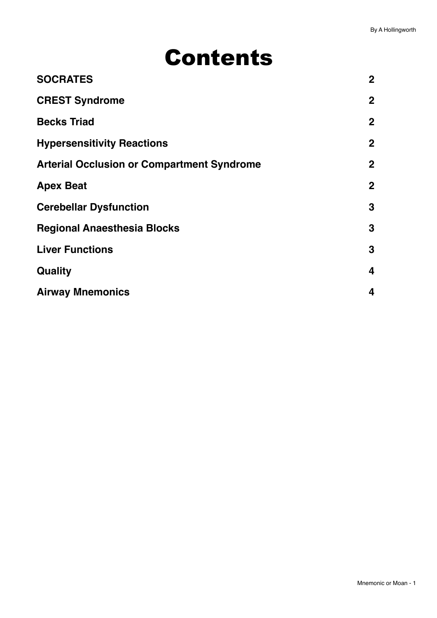# Contents

| <b>SOCRATES</b>                                   | 2 <sup>1</sup> |
|---------------------------------------------------|----------------|
| <b>CREST Syndrome</b>                             | $\mathbf{2}$   |
| <b>Becks Triad</b>                                | $\mathbf{2}$   |
| <b>Hypersensitivity Reactions</b>                 | $\overline{2}$ |
| <b>Arterial Occlusion or Compartment Syndrome</b> | $\overline{2}$ |
| <b>Apex Beat</b>                                  | $\overline{2}$ |
| <b>Cerebellar Dysfunction</b>                     | 3              |
| <b>Regional Anaesthesia Blocks</b>                | 3              |
| <b>Liver Functions</b>                            | 3              |
| Quality                                           | 4              |
| <b>Airway Mnemonics</b>                           | 4              |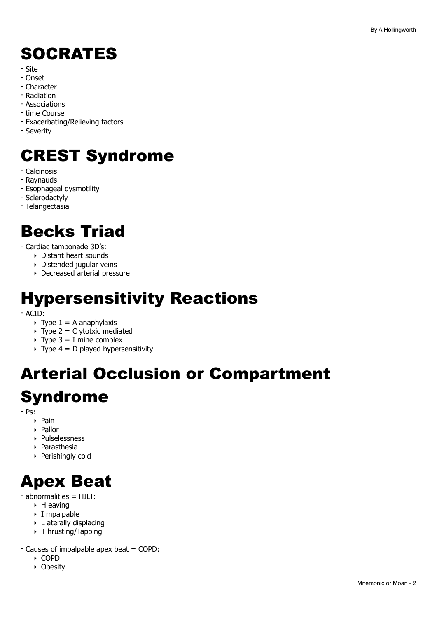# <span id="page-1-0"></span>SOCRATES

- Site
- Onset
- Character
- Radiation
- Associations
- time Course
- Exacerbating/Relieving factors
- Severity

# <span id="page-1-1"></span>CREST Syndrome

- Calcinosis
- Raynauds
- Esophageal dysmotility
- Sclerodactyly
- Telangectasia

#### <span id="page-1-2"></span>Becks Triad

- Cardiac tamponade 3D's:

- ‣ Distant heart sounds
- ‣ Distended jugular veins
- ‣ Decreased arterial pressure

#### <span id="page-1-3"></span>Hypersensitivity Reactions

- ACID:

- $\rightarrow$  Type 1 = A anaphylaxis
- $\rightarrow$  Type 2 = C ytotxic mediated
- $\rightarrow$  Type 3 = I mine complex
- $\rightarrow$  Type 4 = D played hypersensitivity

# <span id="page-1-4"></span>Arterial Occlusion or Compartment Syndrome

- Ps:

- ‣ Pain
- ‣ Pallor
- ‣ Pulselessness ‣ Parasthesia
- 
- ‣ Perishingly cold

#### <span id="page-1-5"></span>Apex Beat

- abnormalities = HILT:
	- ‣ H eaving
	- ‣ I mpalpable
	- ‣ L aterally displacing
	- ‣ T hrusting/Tapping
- Causes of impalpable apex beat = COPD:
	- ‣ COPD
	- ‣ Obesity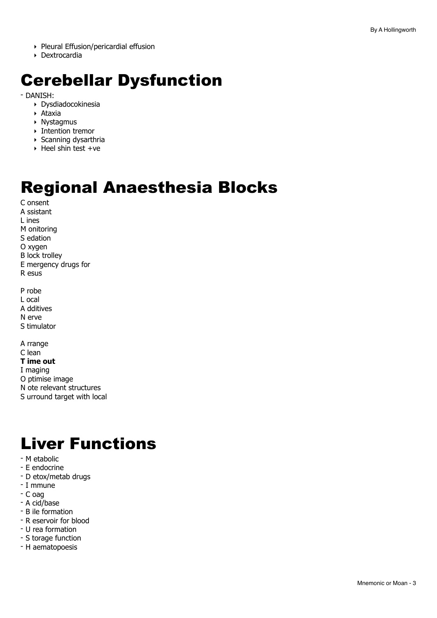- ▶ Pleural Effusion/pericardial effusion
- Dextrocardia

#### <span id="page-2-0"></span>**Cerebellar Dysfunction**

- DANISH:

- ▶ Dysdiadocokinesia
- $\triangleright$  Ataxia
- Nystagmus
- $\triangleright$  Intention tremor
- ▶ Scanning dysarthria
- ▶ Heel shin test +ve

#### <span id="page-2-1"></span>**Regional Anaesthesia Blocks**

C onsent A ssistant L ines M onitoring S edation O xvaen **B** lock trollev E mergency drugs for R esus P robe L ocal

A dditives N erve

S timulator

A rrange C lean T ime out I maging O ptimise image N ote relevant structures S urround target with local

#### <span id="page-2-2"></span>**Liver Functions**

- M etabolic
- E endocrine
- D etox/metab drugs
- I mmune
- C oag
- A cid/base
- B ile formation
- R eservoir for blood
- U rea formation
- S torage function
- H aematopoesis